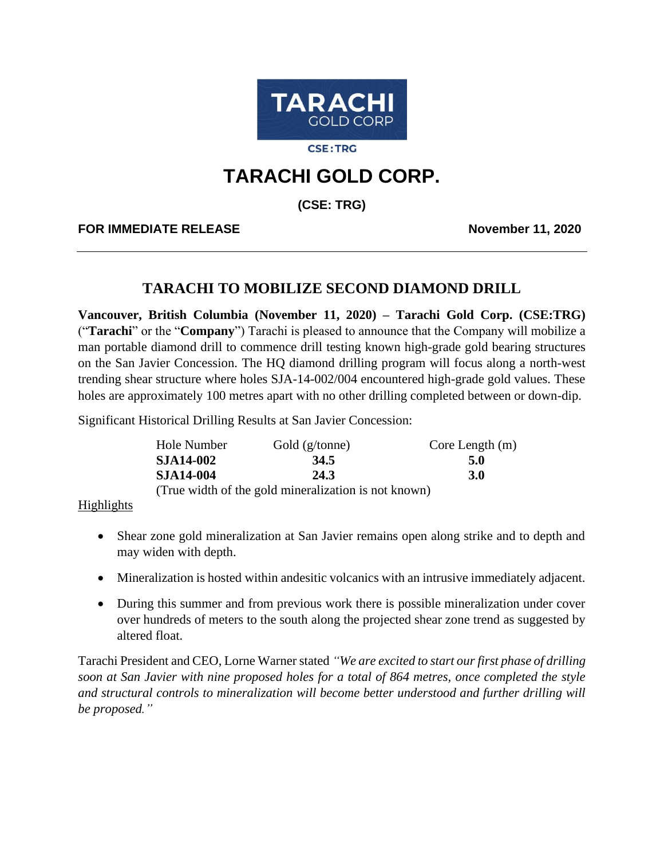

**CSE:TRG** 

# **TARACHI GOLD CORP.**

**(CSE: TRG)**

**FOR IMMEDIATE RELEASE November 11, 2020**

# **TARACHI TO MOBILIZE SECOND DIAMOND DRILL**

**Vancouver, British Columbia (November 11, 2020) – Tarachi Gold Corp. (CSE:TRG)** ("**Tarachi**" or the "**Company**") Tarachi is pleased to announce that the Company will mobilize a man portable diamond drill to commence drill testing known high-grade gold bearing structures on the San Javier Concession. The HQ diamond drilling program will focus along a north-west trending shear structure where holes SJA-14-002/004 encountered high-grade gold values. These holes are approximately 100 metres apart with no other drilling completed between or down-dip.

Significant Historical Drilling Results at San Javier Concession:

| Hole Number      | Gold $(g/tonne)$                                     | Core Length $(m)$ |
|------------------|------------------------------------------------------|-------------------|
| <b>SJA14-002</b> | 34.5                                                 | 5.0               |
| <b>SJA14-004</b> | 24.3                                                 | 3.0               |
|                  | (True width of the gold mineralization is not known) |                   |

## Highlights

- Shear zone gold mineralization at San Javier remains open along strike and to depth and may widen with depth.
- Mineralization is hosted within andesitic volcanics with an intrusive immediately adjacent.
- During this summer and from previous work there is possible mineralization under cover over hundreds of meters to the south along the projected shear zone trend as suggested by altered float.

Tarachi President and CEO, Lorne Warner stated *"We are excited to start our first phase of drilling soon at San Javier with nine proposed holes for a total of 864 metres, once completed the style and structural controls to mineralization will become better understood and further drilling will be proposed."*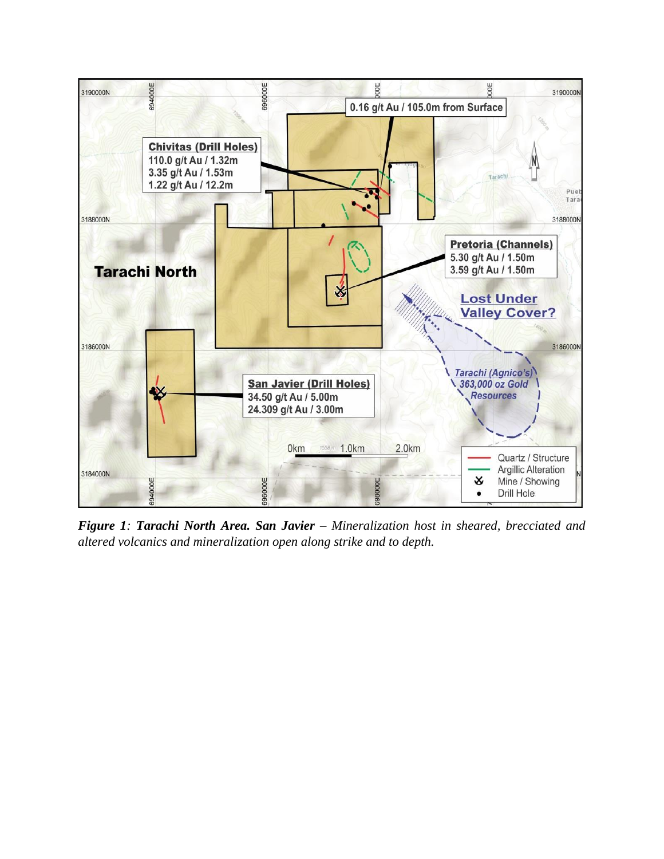

*Figure 1: Tarachi North Area. San Javier – Mineralization host in sheared, brecciated and altered volcanics and mineralization open along strike and to depth.*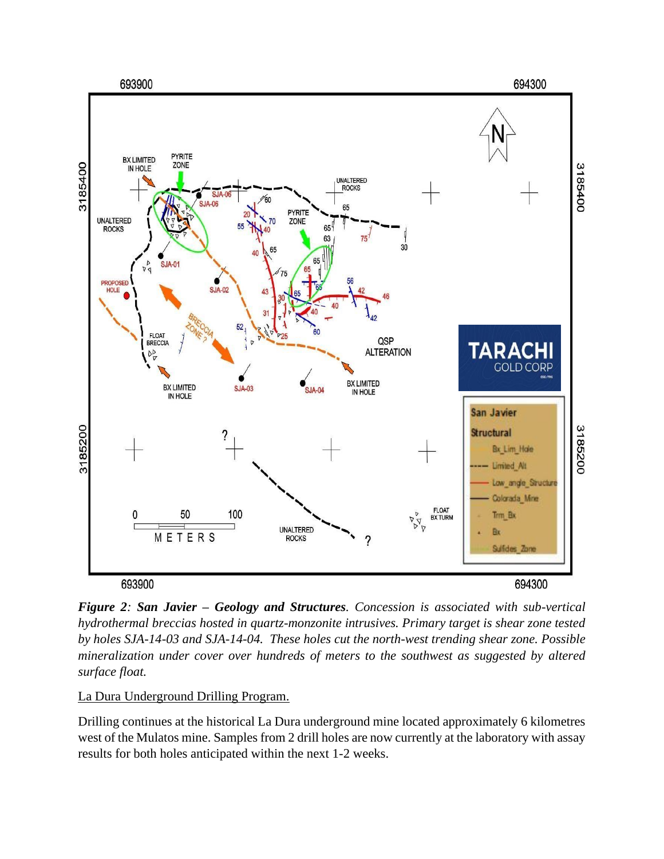

*Figure 2: San Javier – Geology and Structures. Concession is associated with sub-vertical hydrothermal breccias hosted in quartz-monzonite intrusives. Primary target is shear zone tested by holes SJA-14-03 and SJA-14-04. These holes cut the north-west trending shear zone. Possible mineralization under cover over hundreds of meters to the southwest as suggested by altered surface float.* 

La Dura Underground Drilling Program.

Drilling continues at the historical La Dura underground mine located approximately 6 kilometres west of the Mulatos mine. Samples from 2 drill holes are now currently at the laboratory with assay results for both holes anticipated within the next 1-2 weeks.